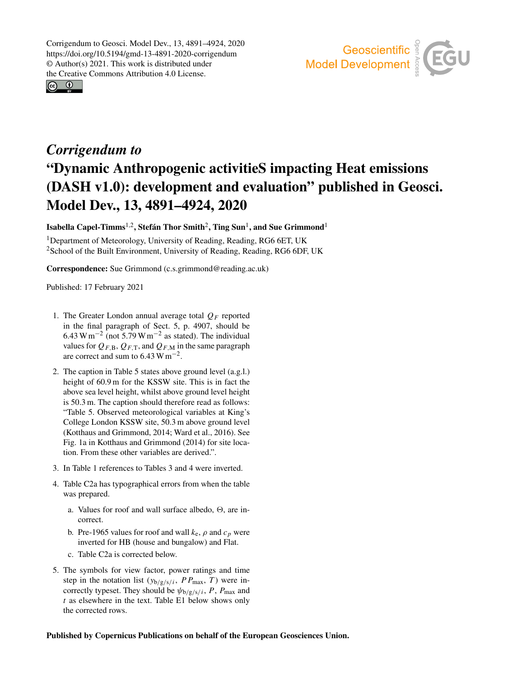Corrigendum to Geosci. Model Dev., 13, 4891–4924, 2020 https://doi.org/10.5194/gmd-13-4891-2020-corrigendum © Author(s) 2021. This work is distributed under the Creative Commons Attribution 4.0 License.





## *Corrigendum to* "Dynamic Anthropogenic activitieS impacting Heat emissions (DASH v1.0): development and evaluation" published in Geosci. Model Dev., 13, 4891–4924, 2020

Isabella Capel-Timms $^{1,2}$  $^{1,2}$  $^{1,2}$ , Stefán Thor Smith $^2$  $^2$ , Ting Sun $^1$  $^1$ , and Sue Grimmond $^1$ 

<sup>1</sup>Department of Meteorology, University of Reading, Reading, RG6 6ET, UK <sup>2</sup>School of the Built Environment, University of Reading, Reading, RG6 6DF, UK

Correspondence: Sue Grimmond (c.s.grimmond@reading.ac.uk)

Published: 17 February 2021

- <span id="page-0-0"></span>1. The Greater London annual average total  $Q_F$  reported in the final paragraph of Sect. 5, p. 4907, should be  $6.43 \text{ W m}^{-2}$  (not  $5.79 \text{ W m}^{-2}$  as stated). The individual values for  $Q_{F,B}, Q_{F,T}$ , and  $Q_{F,M}$  in the same paragraph are correct and sum to  $6.43 \text{ W m}^{-2}$ .
- 2. The caption in Table 5 states above ground level (a.g.l.) height of 60.9 m for the KSSW site. This is in fact the above sea level height, whilst above ground level height is 50.3 m. The caption should therefore read as follows: "Table 5. Observed meteorological variables at King's College London KSSW site, 50.3 m above ground level (Kotthaus and Grimmond, 2014; Ward et al., 2016). See Fig. 1a in Kotthaus and Grimmond (2014) for site location. From these other variables are derived.".
- 3. In Table 1 references to Tables 3 and 4 were inverted.
- 4. Table C2a has typographical errors from when the table was prepared.
	- a. Values for roof and wall surface albedo,  $\Theta$ , are incorrect.
	- b. Pre-1965 values for roof and wall  $k_e$ ,  $\rho$  and  $c_p$  were inverted for HB (house and bungalow) and Flat.
	- c. Table C2a is corrected below.
- 5. The symbols for view factor, power ratings and time step in the notation list  $(y_{b/g/s/i}, PP_{max}, T)$  were incorrectly typeset. They should be  $\psi_{b/g/s/i}$ , P,  $P_{\text{max}}$  and t as elsewhere in the text. Table E1 below shows only the corrected rows.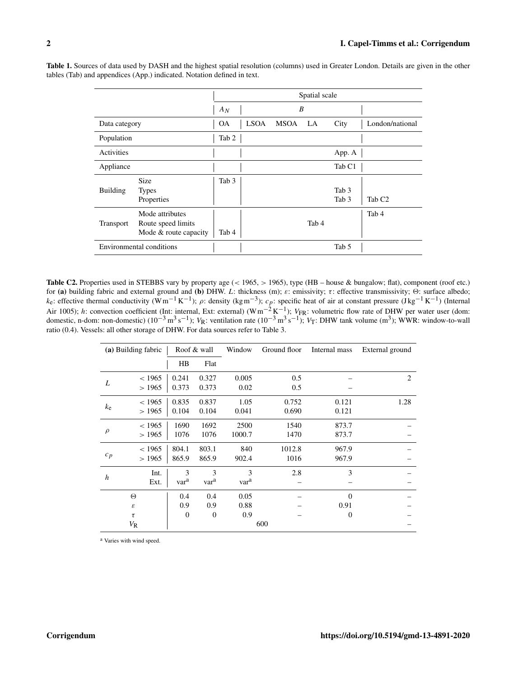|                          |                                                                |                  | Spatial scale |      |       |                           |                    |  |
|--------------------------|----------------------------------------------------------------|------------------|---------------|------|-------|---------------------------|--------------------|--|
|                          | $A_N$                                                          | B                |               |      |       |                           |                    |  |
| Data category            |                                                                | 0A               | <b>LSOA</b>   | MSOA | LA    | City                      | London/national    |  |
| Population               |                                                                | Tab 2            |               |      |       |                           |                    |  |
| Activities               |                                                                |                  |               |      |       | App. A                    |                    |  |
| Appliance                |                                                                |                  |               |      |       | Tab <sub>C1</sub>         |                    |  |
| <b>Building</b>          | <b>Size</b><br><b>Types</b><br>Properties                      | Tab <sub>3</sub> |               |      |       | Tab <sub>3</sub><br>Tab 3 | Tab C <sub>2</sub> |  |
| <b>Transport</b>         | Mode attributes<br>Route speed limits<br>Mode & route capacity | Tab 4            |               |      | Tab 4 |                           | Tab 4              |  |
| Environmental conditions |                                                                |                  |               |      |       | Tab 5                     |                    |  |

Table 1. Sources of data used by DASH and the highest spatial resolution (columns) used in Greater London. Details are given in the other tables (Tab) and appendices (App.) indicated. Notation defined in text.

Table C2. Properties used in STEBBS vary by property age (< 1965, > 1965), type (HB – house & bungalow; flat), component (roof etc.) for (a) building fabric and external ground and (b) DHW. L: thickness (m); ε: emissivity; τ: effective transmissivity; Θ: surface albedo;  $k_e$ : effective thermal conductivity (Wm<sup>-1</sup>K<sup>-1</sup>);  $\rho$ : density (kgm<sup>-3</sup>);  $c_p$ : specific heat of air at constant pressure (Jkg<sup>-1</sup>K<sup>-1</sup>) (Internal Air 1005); *h*: convection coefficient (Int: internal, Ext: external) (Wm<sup>-2</sup>K<sup>-1</sup>); *V*<sub>FR</sub>: volumetric flow rate of DHW per water user (dom: domestic, n-dom: non-domestic) (10<sup>-3</sup> m<sup>3</sup> s<sup>-1</sup>); *V*<sub>R</sub>: ventilation rate ( ratio (0.4). Vessels: all other storage of DHW. For data sources refer to Table 3.

| (a) Building fabric |                            | Roof & wall      |                  | Window | Ground floor | Internal mass | External ground |
|---------------------|----------------------------|------------------|------------------|--------|--------------|---------------|-----------------|
|                     |                            | HB               | Flat             |        |              |               |                 |
| L                   | < 1965                     | 0.241            | 0.327            | 0.005  | 0.5          |               | 2               |
|                     | >1965                      | 0.373            | 0.373            | 0.02   | 0.5          |               |                 |
|                     | < 1965                     | 0.835            | 0.837            | 1.05   | 0.752        | 0.121         | 1.28            |
| $k_{\rm e}$         | >1965                      | 0.104            | 0.104            | 0.041  | 0.690        | 0.121         |                 |
|                     | < 1965                     | 1690             | 1692             | 2500   | 1540         | 873.7         |                 |
| $\rho$              | >1965                      | 1076             | 1076             | 1000.7 | 1470         | 873.7         |                 |
| $c_p$               | < 1965                     | 804.1            | 803.1            | 840    | 1012.8       | 967.9         |                 |
|                     | >1965                      | 865.9            | 865.9            | 902.4  | 1016         | 967.9         |                 |
| $\boldsymbol{h}$    | Int.                       | 3                | 3                | 3      | 2.8          | 3             |                 |
|                     | Ext.                       | var <sup>a</sup> | var <sup>a</sup> | vara   |              |               |                 |
|                     | Θ                          | 0.4              | 0.4              | 0.05   |              | $\Omega$      |                 |
|                     | $\boldsymbol{\varepsilon}$ | 0.9              | 0.9              | 0.88   |              | 0.91          |                 |
| $\tau$              |                            | $\boldsymbol{0}$ | $\theta$         | 0.9    |              | $\theta$      |                 |
| $V_{\rm R}$         |                            |                  |                  |        | 600          |               |                 |

<sup>a</sup> Varies with wind speed.